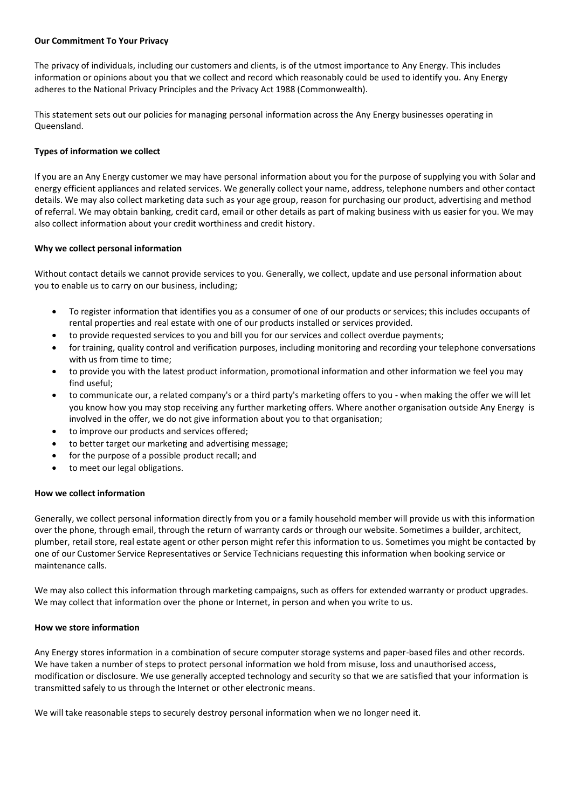# **Our Commitment To Your Privacy**

The privacy of individuals, including our customers and clients, is of the utmost importance to Any Energy. This includes information or opinions about you that we collect and record which reasonably could be used to identify you. Any Energy adheres to the National Privacy Principles and the Privacy Act 1988 (Commonwealth).

This statement sets out our policies for managing personal information across the Any Energy businesses operating in Queensland.

# **Types of information we collect**

If you are an Any Energy customer we may have personal information about you for the purpose of supplying you with Solar and energy efficient appliances and related services. We generally collect your name, address, telephone numbers and other contact details. We may also collect marketing data such as your age group, reason for purchasing our product, advertising and method of referral. We may obtain banking, credit card, email or other details as part of making business with us easier for you. We may also collect information about your credit worthiness and credit history.

### **Why we collect personal information**

Without contact details we cannot provide services to you. Generally, we collect, update and use personal information about you to enable us to carry on our business, including;

- To register information that identifies you as a consumer of one of our products or services; this includes occupants of rental properties and real estate with one of our products installed or services provided.
- to provide requested services to you and bill you for our services and collect overdue payments;
- for training, quality control and verification purposes, including monitoring and recording your telephone conversations with us from time to time;
- to provide you with the latest product information, promotional information and other information we feel you may find useful;
- to communicate our, a related company's or a third party's marketing offers to you when making the offer we will let you know how you may stop receiving any further marketing offers. Where another organisation outside Any Energy is involved in the offer, we do not give information about you to that organisation;
- to improve our products and services offered;
- to better target our marketing and advertising message;
- for the purpose of a possible product recall; and
- to meet our legal obligations.

# **How we collect information**

Generally, we collect personal information directly from you or a family household member will provide us with this information over the phone, through email, through the return of warranty cards or through our website. Sometimes a builder, architect, plumber, retail store, real estate agent or other person might refer this information to us. Sometimes you might be contacted by one of our Customer Service Representatives or Service Technicians requesting this information when booking service or maintenance calls.

We may also collect this information through marketing campaigns, such as offers for extended warranty or product upgrades. We may collect that information over the phone or Internet, in person and when you write to us.

### **How we store information**

Any Energy stores information in a combination of secure computer storage systems and paper-based files and other records. We have taken a number of steps to protect personal information we hold from misuse, loss and unauthorised access, modification or disclosure. We use generally accepted technology and security so that we are satisfied that your information is transmitted safely to us through the Internet or other electronic means.

We will take reasonable steps to securely destroy personal information when we no longer need it.